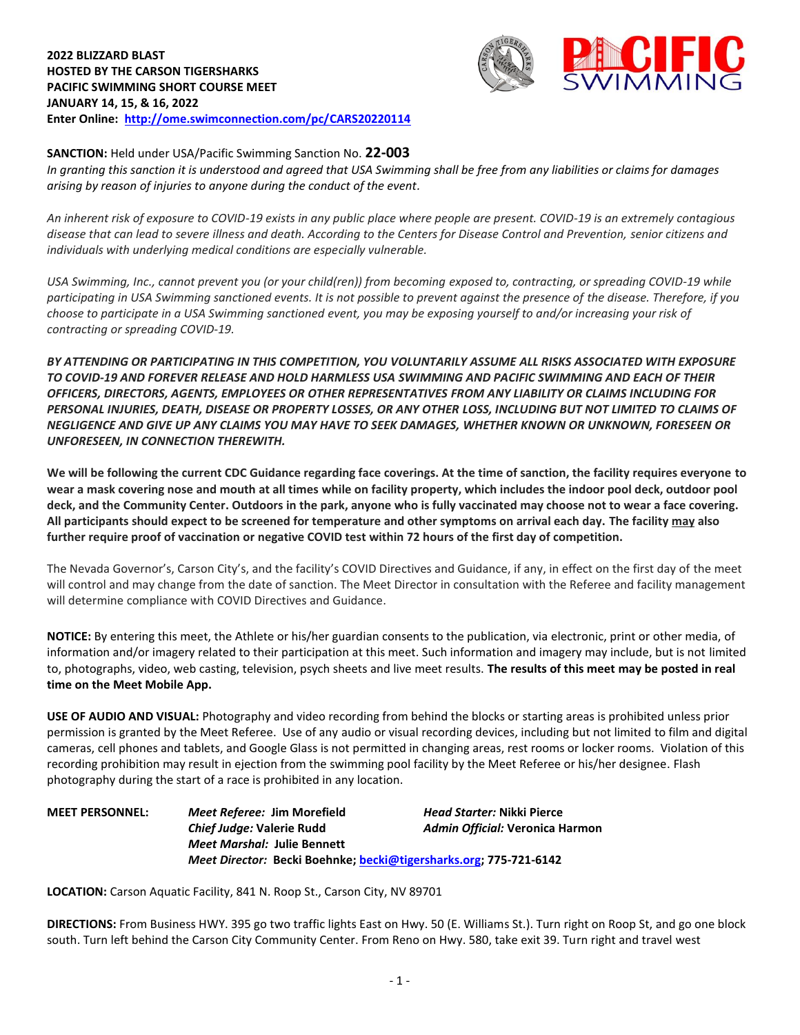

**SANCTION:** Held under USA/Pacific Swimming Sanction No. **22-003**

*In granting this sanction it is understood and agreed that USA Swimming shall be free from any liabilities or claims for damages arising by reason of injuries to anyone during the conduct of the event.*

*An inherent risk of exposure to COVID-19 exists in any public place where people are present. COVID-19 is an extremely contagious disease that can lead to severe illness and death. According to the Centers for Disease Control and Prevention, senior citizens and individuals with underlying medical conditions are especially vulnerable.*

*USA Swimming, Inc., cannot prevent you (or your child(ren)) from becoming exposed to, contracting, or spreading COVID-19 while participating in USA Swimming sanctioned events. It is not possible to prevent against the presence of the disease. Therefore, if you choose to participate in a USA Swimming sanctioned event, you may be exposing yourself to and/or increasing your risk of contracting or spreading COVID-19.*

*BY ATTENDING OR PARTICIPATING IN THIS COMPETITION, YOU VOLUNTARILY ASSUME ALL RISKS ASSOCIATED WITH EXPOSURE TO COVID-19 AND FOREVER RELEASE AND HOLD HARMLESS USA SWIMMING AND PACIFIC SWIMMING AND EACH OF THEIR OFFICERS, DIRECTORS, AGENTS, EMPLOYEES OR OTHER REPRESENTATIVES FROM ANY LIABILITY OR CLAIMS INCLUDING FOR PERSONAL INJURIES, DEATH, DISEASE OR PROPERTY LOSSES, OR ANY OTHER LOSS, INCLUDING BUT NOT LIMITED TO CLAIMS OF NEGLIGENCE AND GIVE UP ANY CLAIMS YOU MAY HAVE TO SEEK DAMAGES, WHETHER KNOWN OR UNKNOWN, FORESEEN OR UNFORESEEN, IN CONNECTION THEREWITH.*

**We will be following the current CDC Guidance regarding face coverings. At the time of sanction, the facility requires everyone to wear a mask covering nose and mouth at all times while on facility property, which includes the indoor pool deck, outdoor pool deck, and the Community Center. Outdoors in the park, anyone who is fully vaccinated may choose not to wear a face covering. All participants should expect to be screened for temperature and other symptoms on arrival each day. The facility may also further require proof of vaccination or negative COVID test within 72 hours of the first day of competition.**

The Nevada Governor's, Carson City's, and the facility's COVID Directives and Guidance, if any, in effect on the first day of the meet will control and may change from the date of sanction. The Meet Director in consultation with the Referee and facility management will determine compliance with COVID Directives and Guidance.

**NOTICE:** By entering this meet, the Athlete or his/her guardian consents to the publication, via electronic, print or other media, of information and/or imagery related to their participation at this meet. Such information and imagery may include, but is not limited to, photographs, video, web casting, television, psych sheets and live meet results. **The results of this meet may be posted in real time on the Meet Mobile App.**

**USE OF AUDIO AND VISUAL:** Photography and video recording from behind the blocks or starting areas is prohibited unless prior permission is granted by the Meet Referee. Use of any audio or visual recording devices, including but not limited to film and digital cameras, cell phones and tablets, and Google Glass is not permitted in changing areas, rest rooms or locker rooms. Violation of this recording prohibition may result in ejection from the swimming pool facility by the Meet Referee or his/her designee. Flash photography during the start of a race is prohibited in any location.

**MEET PERSONNEL:** *Meet Referee:* **Jim Morefield** *Head Starter:* **Nikki Pierce** *Chief Judge:* **Valerie Rudd** *Admin Official:* **Veronica Harmon** *Meet Marshal:* **Julie Bennett** *Meet Director:* **Becki Boehnke; [becki@tigersharks.org;](mailto:becki@tigersharks.org) 775-721-6142**

**LOCATION:** Carson Aquatic Facility, 841 N. Roop St., Carson City, NV 89701

**DIRECTIONS:** From Business HWY. 395 go two traffic lights East on Hwy. 50 (E. Williams St.). Turn right on Roop St, and go one block south. Turn left behind the Carson City Community Center. From Reno on Hwy. 580, take exit 39. Turn right and travel west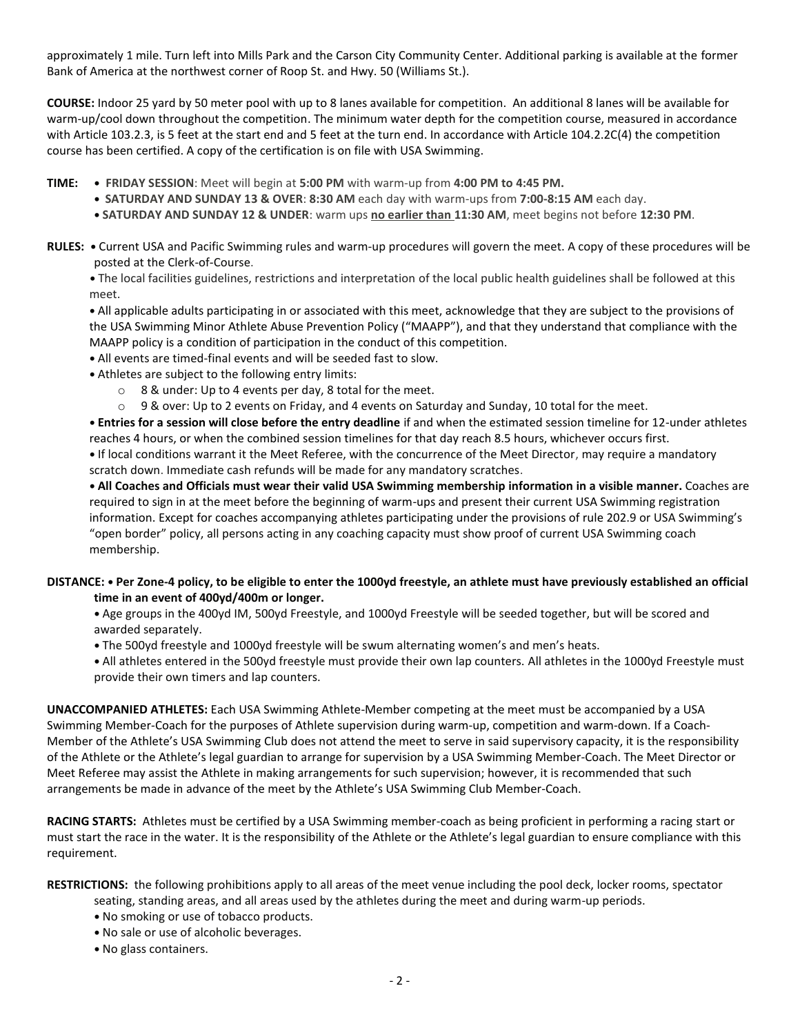approximately 1 mile. Turn left into Mills Park and the Carson City Community Center. Additional parking is available at the former Bank of America at the northwest corner of Roop St. and Hwy. 50 (Williams St.).

**COURSE:** Indoor 25 yard by 50 meter pool with up to 8 lanes available for competition.An additional 8 lanes will be available for warm-up/cool down throughout the competition. The minimum water depth for the competition course, measured in accordance with Article 103.2.3, is 5 feet at the start end and 5 feet at the turn end. In accordance with Article 104.2.2C(4) the competition course has been certified. A copy of the certification is on file with USA Swimming.

- **TIME: • FRIDAY SESSION**: Meet will begin at **5:00 PM** with warm-up from **4:00 PM to 4:45 PM.**
	- **• SATURDAY AND SUNDAY 13 & OVER**: **8:30 AM** each day with warm-ups from **7:00-8:15 AM** each day.
	- **• SATURDAY AND SUNDAY 12 & UNDER**: warm ups **no earlier than 11:30 AM**, meet begins not before **12:30 PM**.
- **RULES: •** Current USA and Pacific Swimming rules and warm-up procedures will govern the meet. A copy of these procedures will be posted at the Clerk-of-Course.
	- **•** The local facilities guidelines, restrictions and interpretation of the local public health guidelines shall be followed at this meet.

**•** All applicable adults participating in or associated with this meet, acknowledge that they are subject to the provisions of the USA Swimming Minor Athlete Abuse Prevention Policy ("MAAPP"), and that they understand that compliance with the MAAPP policy is a condition of participation in the conduct of this competition.

- **•** All events are timed-final events and will be seeded fast to slow.
- **•** Athletes are subject to the following entry limits:
	- o 8 & under: Up to 4 events per day, 8 total for the meet.
	- $\circ$  9 & over: Up to 2 events on Friday, and 4 events on Saturday and Sunday, 10 total for the meet.

**• Entries for a session will close before the entry deadline** if and when the estimated session timeline for 12-under athletes reaches 4 hours, or when the combined session timelines for that day reach 8.5 hours, whichever occurs first.

**•** If local conditions warrant it the Meet Referee, with the concurrence of the Meet Director, may require a mandatory scratch down. Immediate cash refunds will be made for any mandatory scratches.

**• All Coaches and Officials must wear their valid USA Swimming membership information in a visible manner.** Coaches are required to sign in at the meet before the beginning of warm-ups and present their current USA Swimming registration information. Except for coaches accompanying athletes participating under the provisions of rule 202.9 or USA Swimming's "open border" policy, all persons acting in any coaching capacity must show proof of current USA Swimming coach membership.

## **DISTANCE: • Per Zone-4 policy, to be eligible to enter the 1000yd freestyle, an athlete must have previously established an official time in an event of 400yd/400m or longer.**

- **•** Age groups in the 400yd IM, 500yd Freestyle, and 1000yd Freestyle will be seeded together, but will be scored and awarded separately.
- **•** The 500yd freestyle and 1000yd freestyle will be swum alternating women's and men's heats.
- **•** All athletes entered in the 500yd freestyle must provide their own lap counters. All athletes in the 1000yd Freestyle must provide their own timers and lap counters.

**UNACCOMPANIED ATHLETES:** Each USA Swimming Athlete-Member competing at the meet must be accompanied by a USA Swimming Member-Coach for the purposes of Athlete supervision during warm-up, competition and warm-down. If a Coach-Member of the Athlete's USA Swimming Club does not attend the meet to serve in said supervisory capacity, it is the responsibility of the Athlete or the Athlete's legal guardian to arrange for supervision by a USA Swimming Member-Coach. The Meet Director or Meet Referee may assist the Athlete in making arrangements for such supervision; however, it is recommended that such arrangements be made in advance of the meet by the Athlete's USA Swimming Club Member-Coach.

**RACING STARTS:** Athletes must be certified by a USA Swimming member-coach as being proficient in performing a racing start or must start the race in the water. It is the responsibility of the Athlete or the Athlete's legal guardian to ensure compliance with this requirement.

**RESTRICTIONS:** the following prohibitions apply to all areas of the meet venue including the pool deck, locker rooms, spectator

- seating, standing areas, and all areas used by the athletes during the meet and during warm-up periods.
- **•** No smoking or use of tobacco products.
- **•** No sale or use of alcoholic beverages.
- **•** No glass containers.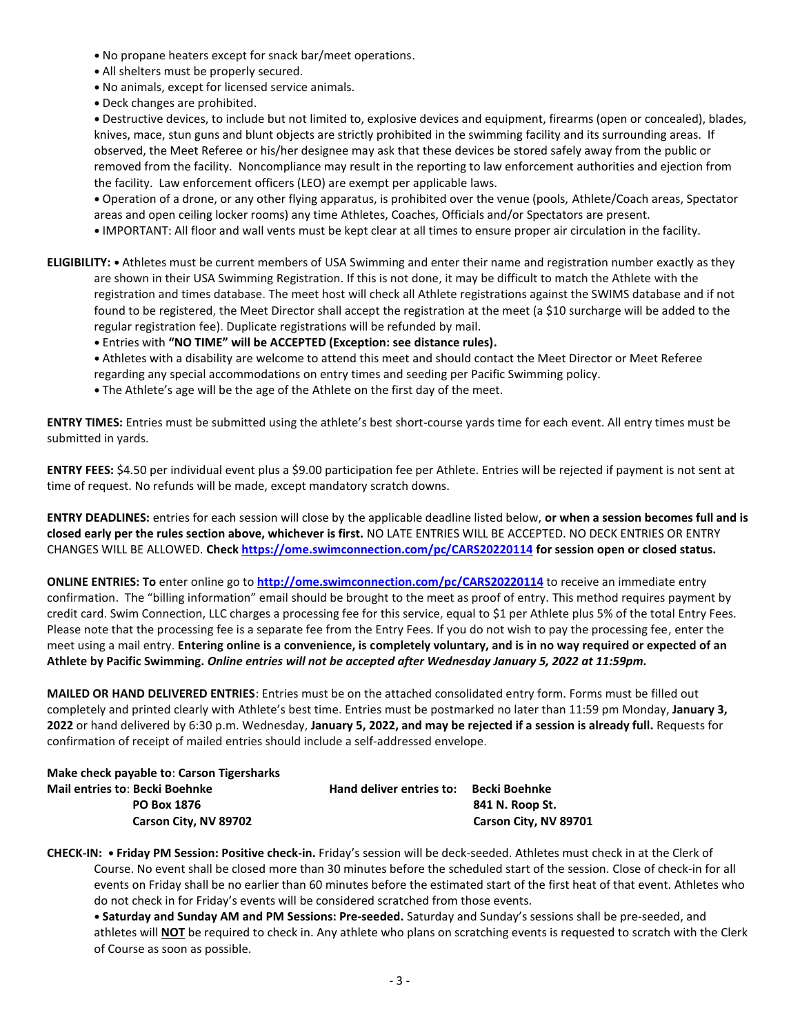- **•** No propane heaters except for snack bar/meet operations.
- **•** All shelters must be properly secured.
- **•** No animals, except for licensed service animals.
- **•** Deck changes are prohibited.

**•** Destructive devices, to include but not limited to, explosive devices and equipment, firearms (open or concealed), blades, knives, mace, stun guns and blunt objects are strictly prohibited in the swimming facility and its surrounding areas. If observed, the Meet Referee or his/her designee may ask that these devices be stored safely away from the public or removed from the facility. Noncompliance may result in the reporting to law enforcement authorities and ejection from the facility. Law enforcement officers (LEO) are exempt per applicable laws.

**•** Operation of a drone, or any other flying apparatus, is prohibited over the venue (pools, Athlete/Coach areas, Spectator areas and open ceiling locker rooms) any time Athletes, Coaches, Officials and/or Spectators are present.

- **•** IMPORTANT: All floor and wall vents must be kept clear at all times to ensure proper air circulation in the facility.
- **ELIGIBILITY: •** Athletes must be current members of USA Swimming and enter their name and registration number exactly as they are shown in their USA Swimming Registration. If this is not done, it may be difficult to match the Athlete with the registration and times database. The meet host will check all Athlete registrations against the SWIMS database and if not found to be registered, the Meet Director shall accept the registration at the meet (a \$10 surcharge will be added to the regular registration fee). Duplicate registrations will be refunded by mail.

**•** Entries with **"NO TIME" will be ACCEPTED (Exception: see distance rules).**

- **•** Athletes with a disability are welcome to attend this meet and should contact the Meet Director or Meet Referee regarding any special accommodations on entry times and seeding per Pacific Swimming policy.
- **•** The Athlete's age will be the age of the Athlete on the first day of the meet.

**ENTRY TIMES:** Entries must be submitted using the athlete's best short-course yards time for each event. All entry times must be submitted in yards.

**ENTRY FEES:** \$4.50 per individual event plus a \$9.00 participation fee per Athlete. Entries will be rejected if payment is not sent at time of request. No refunds will be made, except mandatory scratch downs.

**ENTRY DEADLINES:** entries for each session will close by the applicable deadline listed below, **or when a session becomes full and is closed early per the rules section above, whichever is first.** NO LATE ENTRIES WILL BE ACCEPTED. NO DECK ENTRIES OR ENTRY CHANGES WILL BE ALLOWED. **Check<https://ome.swimconnection.com/pc/CARS20220114> for session open or closed status.**

**ONLINE ENTRIES: To** enter online go to **<http://ome.swimconnection.com/pc/CARS20220114>** to receive an immediate entry confirmation. The "billing information" email should be brought to the meet as proof of entry. This method requires payment by credit card. Swim Connection, LLC charges a processing fee for this service, equal to \$1 per Athlete plus 5% of the total Entry Fees. Please note that the processing fee is a separate fee from the Entry Fees. If you do not wish to pay the processing fee, enter the meet using a mail entry. **Entering online is a convenience, is completely voluntary, and is in no way required or expected of an Athlete by Pacific Swimming.** *Online entries will not be accepted after Wednesday January 5, 2022 at 11:59pm.* 

**MAILED OR HAND DELIVERED ENTRIES**: Entries must be on the attached consolidated entry form. Forms must be filled out completely and printed clearly with Athlete's best time. Entries must be postmarked no later than 11:59 pm Monday, **January 3, 2022** or hand delivered by 6:30 p.m. Wednesday, **January 5, 2022, and may be rejected if a session is already full.** Requests for confirmation of receipt of mailed entries should include a self-addressed envelope.

**Make check payable to**: **Carson Tigersharks Mail entries to**: **Becki Boehnke Hand deliver entries to: Becki Boehnke PO Box 1876 841 N. Roop St.**

 **Carson City, NV 89702 Carson City, NV 89701**

**CHECK-IN: • Friday PM Session: Positive check-in.** Friday's session will be deck-seeded. Athletes must check in at the Clerk of Course. No event shall be closed more than 30 minutes before the scheduled start of the session. Close of check-in for all events on Friday shall be no earlier than 60 minutes before the estimated start of the first heat of that event. Athletes who do not check in for Friday's events will be considered scratched from those events.

**• Saturday and Sunday AM and PM Sessions: Pre-seeded.** Saturday and Sunday's sessions shall be pre-seeded, and athletes will **NOT** be required to check in. Any athlete who plans on scratching events is requested to scratch with the Clerk of Course as soon as possible.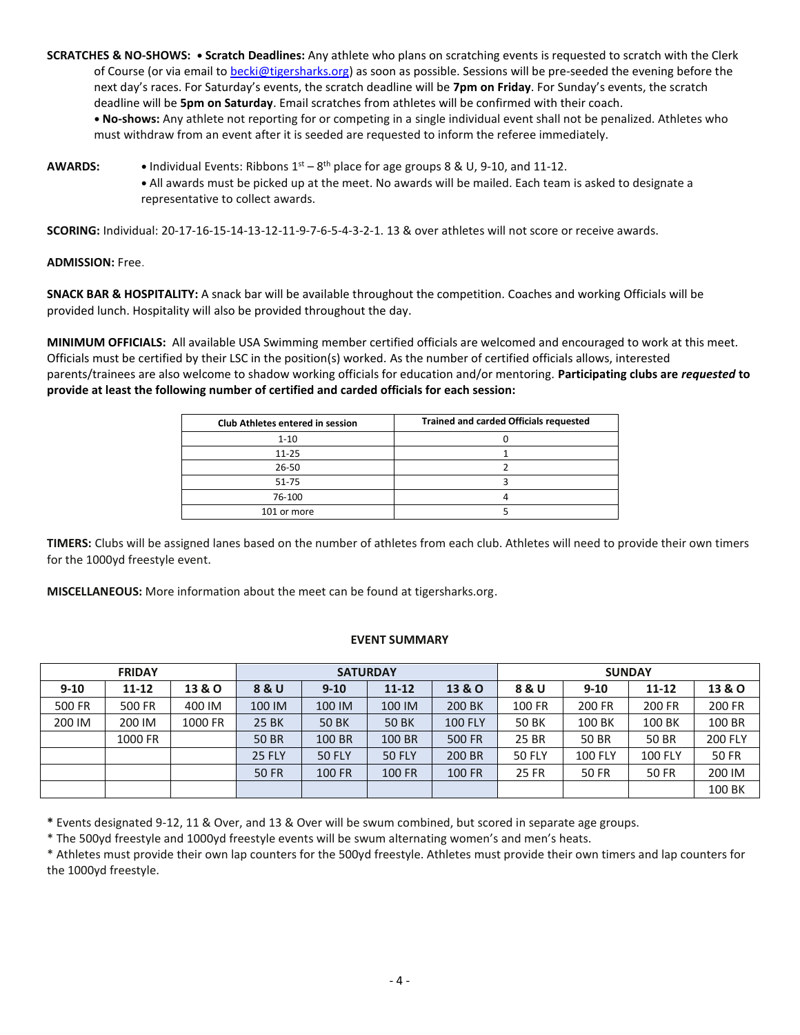**SCRATCHES & NO-SHOWS: • Scratch Deadlines:** Any athlete who plans on scratching events is requested to scratch with the Clerk of Course (or via email t[o becki@tigersharks.org\)](mailto:becki@tigersharks.org) as soon as possible. Sessions will be pre-seeded the evening before the next day's races. For Saturday's events, the scratch deadline will be **7pm on Friday**. For Sunday's events, the scratch deadline will be **5pm on Saturday**. Email scratches from athletes will be confirmed with their coach.

**• No-shows:** Any athlete not reporting for or competing in a single individual event shall not be penalized. Athletes who must withdraw from an event after it is seeded are requested to inform the referee immediately.

AWARDS: • Individual Events: Ribbons  $1^{st} - 8^{th}$  place for age groups 8 & U, 9-10, and 11-12. **•** All awards must be picked up at the meet. No awards will be mailed. Each team is asked to designate a representative to collect awards.

**SCORING:** Individual: 20-17-16-15-14-13-12-11-9-7-6-5-4-3-2-1. 13 & over athletes will not score or receive awards.

**ADMISSION:** Free.

**SNACK BAR & HOSPITALITY:** A snack bar will be available throughout the competition. Coaches and working Officials will be provided lunch. Hospitality will also be provided throughout the day.

**MINIMUM OFFICIALS:** All available USA Swimming member certified officials are welcomed and encouraged to work at this meet. Officials must be certified by their LSC in the position(s) worked. As the number of certified officials allows, interested parents/trainees are also welcome to shadow working officials for education and/or mentoring. **Participating clubs are** *requested* **to provide at least the following number of certified and carded officials for each session:**

| <b>Club Athletes entered in session</b> | <b>Trained and carded Officials requested</b> |  |  |  |  |  |
|-----------------------------------------|-----------------------------------------------|--|--|--|--|--|
| $1 - 10$                                |                                               |  |  |  |  |  |
| $11 - 25$                               |                                               |  |  |  |  |  |
| 26-50                                   |                                               |  |  |  |  |  |
| 51-75                                   |                                               |  |  |  |  |  |
| 76-100                                  |                                               |  |  |  |  |  |
| 101 or more                             |                                               |  |  |  |  |  |

**TIMERS:** Clubs will be assigned lanes based on the number of athletes from each club. Athletes will need to provide their own timers for the 1000yd freestyle event.

**MISCELLANEOUS:** More information about the meet can be found at tigersharks.org.

## **EVENT SUMMARY**

| <b>FRIDAY</b> |           |         | <b>SATURDAY</b> |               |               |                   | <b>SUNDAY</b> |                |                |                |  |
|---------------|-----------|---------|-----------------|---------------|---------------|-------------------|---------------|----------------|----------------|----------------|--|
| $9 - 10$      | $11 - 12$ | 13 & O  | 8 & U           | $9 - 10$      | $11 - 12$     | <b>13 &amp; O</b> | 8 & U         | $9 - 10$       | 11-12          | 13 & O         |  |
| 500 FR        | 500 FR    | 400 IM  | 100 IM          | 100 IM        | 100 IM        | 200 BK            | 100 FR        | 200 FR         | 200 FR         | 200 FR         |  |
| 200 IM        | 200 IM    | 1000 FR | <b>25 BK</b>    | <b>50 BK</b>  | <b>50 BK</b>  | <b>100 FLY</b>    | <b>50 BK</b>  | 100 BK         | 100 BK         | 100 BR         |  |
|               | 1000 FR   |         | <b>50 BR</b>    | 100 BR        | 100 BR        | <b>500 FR</b>     | 25 BR         | <b>50 BR</b>   | 50 BR          | <b>200 FLY</b> |  |
|               |           |         | <b>25 FLY</b>   | <b>50 FLY</b> | <b>50 FLY</b> | 200 BR            | <b>50 FLY</b> | <b>100 FLY</b> | <b>100 FLY</b> | <b>50 FR</b>   |  |
|               |           |         | <b>50 FR</b>    | 100 FR        | 100 FR        | <b>100 FR</b>     | <b>25 FR</b>  | <b>50 FR</b>   | 50 FR          | 200 IM         |  |
|               |           |         |                 |               |               |                   |               |                |                | 100 BK         |  |

**\*** Events designated 9-12, 11 & Over, and 13 & Over will be swum combined, but scored in separate age groups.

\* The 500yd freestyle and 1000yd freestyle events will be swum alternating women's and men's heats.

\* Athletes must provide their own lap counters for the 500yd freestyle. Athletes must provide their own timers and lap counters for the 1000yd freestyle.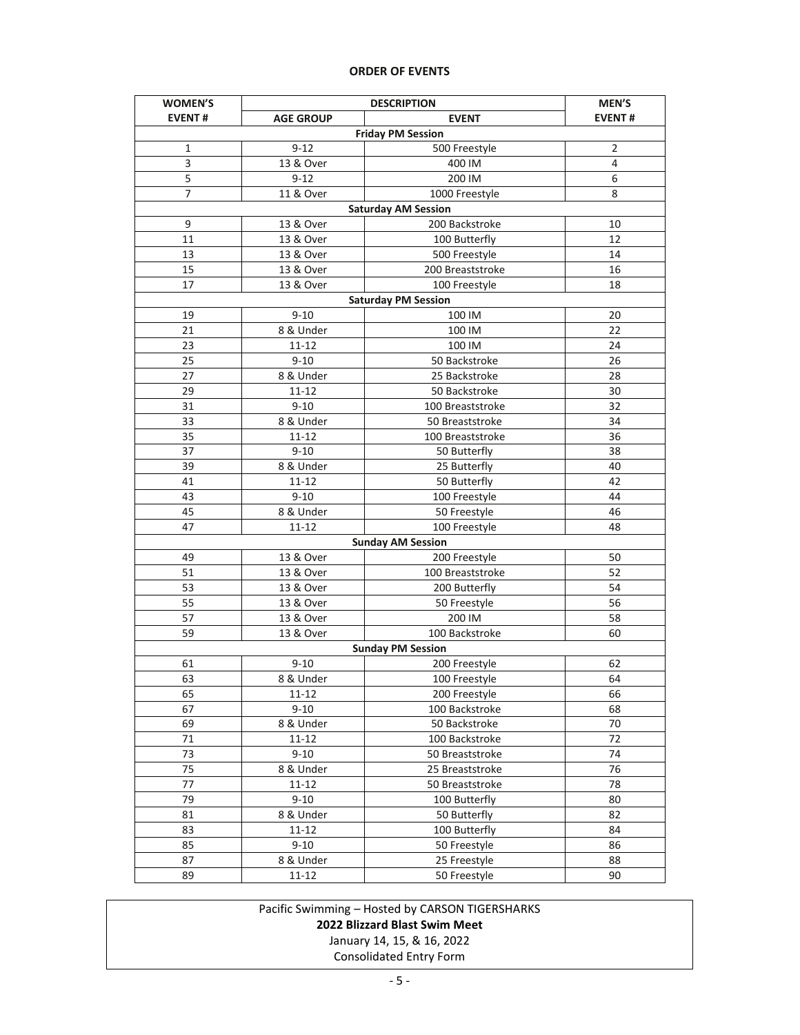## **ORDER OF EVENTS**

| <b>WOMEN'S</b>             |                  | MEN'S                    |                |  |  |  |  |  |  |
|----------------------------|------------------|--------------------------|----------------|--|--|--|--|--|--|
| <b>EVENT#</b>              | <b>AGE GROUP</b> | <b>EVENT</b>             | <b>EVENT#</b>  |  |  |  |  |  |  |
| <b>Friday PM Session</b>   |                  |                          |                |  |  |  |  |  |  |
| $\mathbf{1}$               | $9 - 12$         | 500 Freestyle            | $\overline{2}$ |  |  |  |  |  |  |
| 3                          | 13 & Over        | 400 IM                   | 4              |  |  |  |  |  |  |
| 5                          | $9 - 12$         | 200 IM                   | 6              |  |  |  |  |  |  |
| $\overline{7}$             | 11 & Over        | 1000 Freestyle           | 8              |  |  |  |  |  |  |
| <b>Saturday AM Session</b> |                  |                          |                |  |  |  |  |  |  |
| 9                          | 13 & Over        | 200 Backstroke           | 10             |  |  |  |  |  |  |
| 11                         | 13 & Over        | 100 Butterfly            | 12             |  |  |  |  |  |  |
| 13                         | 13 & Over        | 500 Freestyle            | 14             |  |  |  |  |  |  |
| 15                         | 13 & Over        | 200 Breaststroke         | 16             |  |  |  |  |  |  |
| 17                         | 13 & Over        | 100 Freestyle            | 18             |  |  |  |  |  |  |
| <b>Saturday PM Session</b> |                  |                          |                |  |  |  |  |  |  |
| 19                         | $9 - 10$         | 100 IM                   | 20             |  |  |  |  |  |  |
| 21                         | 8 & Under        | 100 IM                   | 22             |  |  |  |  |  |  |
| 23                         | $11 - 12$        | 100 IM                   | 24             |  |  |  |  |  |  |
| 25                         | $9 - 10$         | 50 Backstroke            | 26             |  |  |  |  |  |  |
| 27                         | 8 & Under        | 25 Backstroke            | 28             |  |  |  |  |  |  |
| 29                         | $11 - 12$        | 50 Backstroke            | 30             |  |  |  |  |  |  |
| 31                         | $9 - 10$         | 100 Breaststroke         | 32             |  |  |  |  |  |  |
| 33                         | 8 & Under        | 50 Breaststroke          | 34             |  |  |  |  |  |  |
| 35                         | $11 - 12$        | 100 Breaststroke         | 36             |  |  |  |  |  |  |
| 37                         | $9 - 10$         | 50 Butterfly             | 38             |  |  |  |  |  |  |
| 39                         | 8 & Under        | 25 Butterfly             | 40             |  |  |  |  |  |  |
| 41                         | $11 - 12$        | 50 Butterfly             | 42             |  |  |  |  |  |  |
| 43                         | $9 - 10$         | 100 Freestyle            | 44             |  |  |  |  |  |  |
| 45                         | 8 & Under        | 50 Freestyle             | 46             |  |  |  |  |  |  |
| 47                         | $11 - 12$        | 100 Freestyle            | 48             |  |  |  |  |  |  |
|                            |                  | <b>Sunday AM Session</b> |                |  |  |  |  |  |  |
| 49                         | 13 & Over        | 200 Freestyle            | 50             |  |  |  |  |  |  |
| 51                         | 13 & Over        | 100 Breaststroke         | 52             |  |  |  |  |  |  |
| 53                         | 13 & Over        | 200 Butterfly            | 54             |  |  |  |  |  |  |
| 55                         | 13 & Over        | 50 Freestyle             | 56             |  |  |  |  |  |  |
| 57                         | 13 & Over        | 200 IM                   | 58             |  |  |  |  |  |  |
| 59                         | 13 & Over        | 100 Backstroke           | 60             |  |  |  |  |  |  |
|                            |                  | <b>Sunday PM Session</b> |                |  |  |  |  |  |  |
| 61                         | $9 - 10$         | 200 Freestyle            | 62             |  |  |  |  |  |  |
| 63                         | 8 & Under        | 100 Freestyle            | 64             |  |  |  |  |  |  |
| 65                         | 11-12            | 200 Freestyle            | 66             |  |  |  |  |  |  |
| 67                         | $9 - 10$         | 100 Backstroke           | 68             |  |  |  |  |  |  |
| 69                         | 8 & Under        | 50 Backstroke            | 70             |  |  |  |  |  |  |
| 71                         | $11 - 12$        | 100 Backstroke           | 72             |  |  |  |  |  |  |
| 73                         | $9 - 10$         | 50 Breaststroke          | 74             |  |  |  |  |  |  |
| 75                         | 8 & Under        | 25 Breaststroke          | 76             |  |  |  |  |  |  |
| 77                         | $11 - 12$        | 50 Breaststroke          | 78             |  |  |  |  |  |  |
| 79                         | $9 - 10$         | 100 Butterfly            | 80             |  |  |  |  |  |  |
| 81                         | 8 & Under        | 50 Butterfly             | 82             |  |  |  |  |  |  |
| 83                         | 11-12            | 100 Butterfly            | 84             |  |  |  |  |  |  |
| 85                         | $9 - 10$         | 50 Freestyle             | 86             |  |  |  |  |  |  |
| 87                         | 8 & Under        | 25 Freestyle             | 88             |  |  |  |  |  |  |
| 89                         | $11 - 12$        | 50 Freestyle             | 90             |  |  |  |  |  |  |

Pacific Swimming – Hosted by CARSON TIGERSHARKS

## **2022 Blizzard Blast Swim Meet**

January 14, 15, & 16, 2022

Consolidated Entry Form